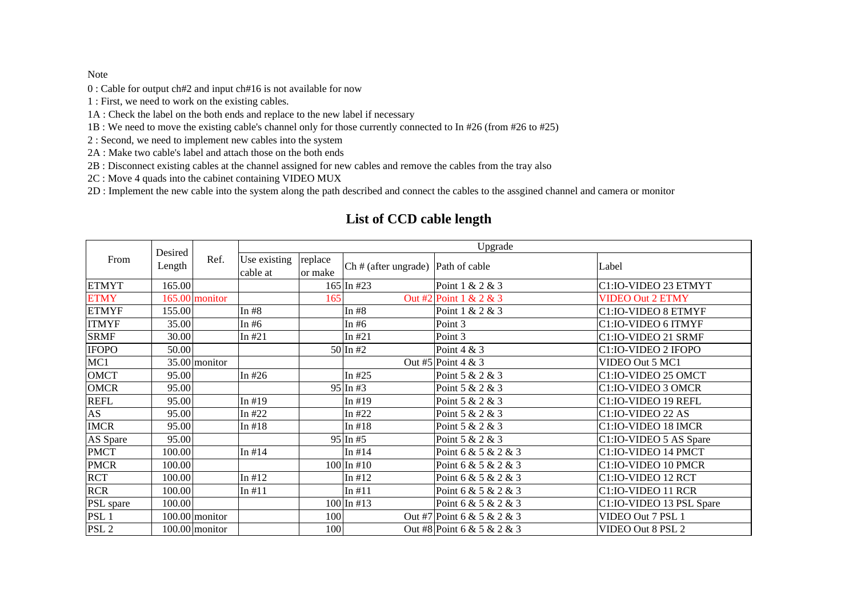## Note

0 : Cable for output ch#2 and input ch#16 is not available for now

- 1 : First, we need to work on the existing cables.
- 1A : Check the label on the both ends and replace to the new label if necessary
- 1B : We need to move the existing cable's channel only for those currently connected to In #26 (from #26 to #25)
- 2 : Second, we need to implement new cables into the system
- 2A : Make two cable's label and attach those on the both ends
- 2B : Disconnect existing cables at the channel assigned for new cables and remove the cables from the tray also
- 2C : Move 4 quads into the cabinet containing VIDEO MUX
- 2D : Implement the new cable into the system along the path described and connect the cables to the assgined channel and camera or monitor

| From             | Desired<br>Length | Ref.             | Upgrade      |         |                      |                            |                          |  |
|------------------|-------------------|------------------|--------------|---------|----------------------|----------------------------|--------------------------|--|
|                  |                   |                  | Use existing | replace | Ch # (after ungrade) | Path of cable              | Label                    |  |
|                  |                   |                  | cable at     | or make |                      |                            |                          |  |
| <b>ETMYT</b>     | 165.00            |                  |              |         | $165$ In #23         | Point 1 & 2 & 3            | C1:IO-VIDEO 23 ETMYT     |  |
| <b>ETMY</b>      |                   | 165.00 monitor   |              | 165     |                      | Out #2 Point 1 & 2 & 3     | <b>VIDEO Out 2 ETMY</b>  |  |
| <b>ETMYF</b>     | 155.00            |                  | In $#8$      |         | In $#8$              | Point 1 & 2 & 3            | C1:IO-VIDEO 8 ETMYF      |  |
| <b>ITMYF</b>     | 35.00             |                  | In $#6$      |         | In $#6$              | Point 3                    | C1:IO-VIDEO 6 ITMYF      |  |
| <b>SRMF</b>      | 30.00             |                  | In $#21$     |         | In $#21$             | Point 3                    | C1:IO-VIDEO 21 SRMF      |  |
| <b>IFOPO</b>     | 50.00             |                  |              |         | $50 \ln 42$          | Point 4 & 3                | C1:IO-VIDEO 2 IFOPO      |  |
| MC1              |                   | 35.00 monitor    |              |         |                      | Out #5 Point 4 & 3         | VIDEO Out 5 MC1          |  |
| <b>OMCT</b>      | 95.00             |                  | In $#26$     |         | In $#25$             | Point 5 & 2 & 3            | C1:IO-VIDEO 25 OMCT      |  |
| <b>OMCR</b>      | 95.00             |                  |              |         | 95 In #3             | Point 5 & 2 & 3            | C1:IO-VIDEO 3 OMCR       |  |
| <b>REFL</b>      | 95.00             |                  | In $#19$     |         | In $#19$             | Point 5 & 2 & 3            | C1:IO-VIDEO 19 REFL      |  |
| AS               | 95.00             |                  | In $#22$     |         | In $#22$             | Point 5 & 2 & 3            | C1:IO-VIDEO 22 AS        |  |
| <b>IMCR</b>      | 95.00             |                  | In $#18$     |         | In $#18$             | Point 5 & 2 & 3            | C1:IO-VIDEO 18 IMCR      |  |
| AS Spare         | 95.00             |                  |              |         | $95 \ln 45$          | Point 5 & 2 & 3            | C1:IO-VIDEO 5 AS Spare   |  |
| <b>PMCT</b>      | 100.00            |                  | In $#14$     |         | In $#14$             | Point 6 & 5 & 2 & 3        | C1:IO-VIDEO 14 PMCT      |  |
| <b>PMCR</b>      | 100.00            |                  |              |         | $100 \ln 410$        | Point 6 & 5 & 2 & 3        | C1:IO-VIDEO 10 PMCR      |  |
| <b>RCT</b>       | 100.00            |                  | In $#12$     |         | In $#12$             | Point 6 & 5 & 2 & 3        | C1:IO-VIDEO 12 RCT       |  |
| <b>RCR</b>       | 100.00            |                  | In $#11$     |         | In $#11$             | Point 6 & 5 & 2 & 3        | C1:IO-VIDEO 11 RCR       |  |
| PSL spare        | 100.00            |                  |              |         | $100 \ln 413$        | Point 6 & 5 & 2 & 3        | C1:IO-VIDEO 13 PSL Spare |  |
| PSL <sub>1</sub> |                   | 100.00 monitor   |              | 100     |                      | Out #7 Point 6 & 5 & 2 & 3 | VIDEO Out 7 PSL 1        |  |
| PSL <sub>2</sub> |                   | $100.00$ monitor |              | 100     |                      | Out #8 Point 6 & 5 & 2 & 3 | VIDEO Out 8 PSL 2        |  |

# **List of CCD cable length**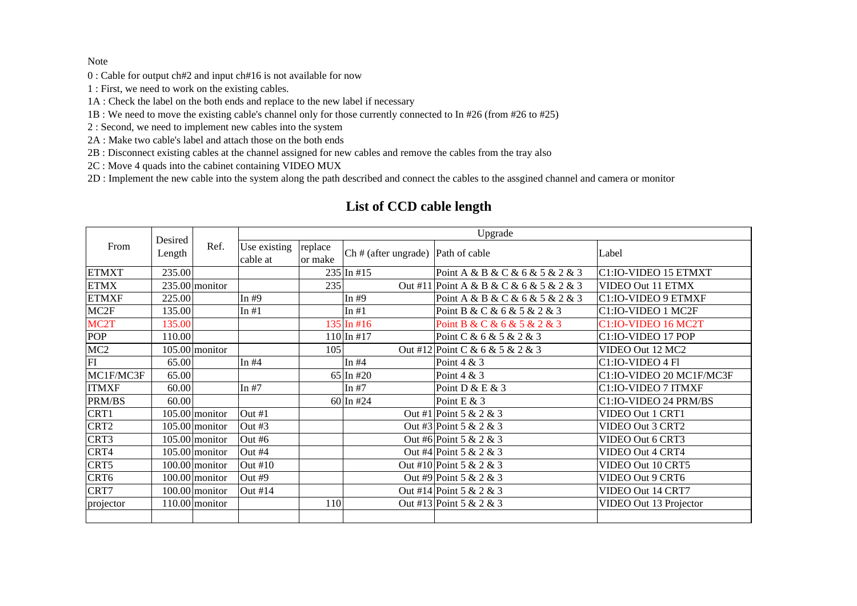#### Note

- 0 : Cable for output ch#2 and input ch#16 is not available for now
- 1 : First, we need to work on the existing cables.
- 1A : Check the label on the both ends and replace to the new label if necessary
- 1B : We need to move the existing cable's channel only for those currently connected to In #26 (from #26 to #25)
- 2 : Second, we need to implement new cables into the system
- 2A : Make two cable's label and attach those on the both ends
- 2B : Disconnect existing cables at the channel assigned for new cables and remove the cables from the tray also
- 2C : Move 4 quads into the cabinet containing VIDEO MUX
- 2D : Implement the new cable into the system along the path described and connect the cables to the assgined channel and camera or monitor

| From              | Desired<br>Length | Ref.             | Upgrade      |            |                                           |                                         |                          |  |
|-------------------|-------------------|------------------|--------------|------------|-------------------------------------------|-----------------------------------------|--------------------------|--|
|                   |                   |                  | Use existing | replace    | $\int$ Ch # (after ungrade) Path of cable |                                         | Label                    |  |
|                   |                   |                  | cable at     | or make    |                                           |                                         |                          |  |
| <b>ETMXT</b>      | 235.00            |                  |              |            | $235$ In #15                              | Point A & B & C & 6 & 5 & 2 & 3         | C1:IO-VIDEO 15 ETMXT     |  |
| <b>ETMX</b>       |                   | $235.00$ monitor |              | 235        |                                           | Out #11 Point A & B & C & 6 & 5 & 2 & 3 | VIDEO Out 11 ETMX        |  |
| <b>ETMXF</b>      | 225.00            |                  | In $#9$      |            | In $#9$                                   | Point A & B & C & 6 & 5 & 2 & 3         | C1:IO-VIDEO 9 ETMXF      |  |
| MC <sub>2F</sub>  | 135.00            |                  | In $#1$      |            | In $#1$                                   | Point B & C & 6 & 5 & 2 & 3             | C1:IO-VIDEO 1 MC2F       |  |
| MC <sub>2</sub> T | 135.00            |                  |              |            | 135 In #16                                | Point B & C & 6 & 5 & 2 & 3             | C1:IO-VIDEO 16 MC2T      |  |
| <b>POP</b>        | 110.00            |                  |              |            | $110$ In #17                              | Point C & 6 & 5 & 2 & 3                 | C1:IO-VIDEO 17 POP       |  |
| MC <sub>2</sub>   |                   | $105.00$ monitor |              | 105        |                                           | Out #12 Point C & 6 & 5 & 2 & 3         | VIDEO Out 12 MC2         |  |
| FI                | 65.00             |                  | In $#4$      |            | In $#4$                                   | Point $4 & 3$                           | C1:IO-VIDEO 4 Fl         |  |
| MC1F/MC3F         | 65.00             |                  |              |            | 65 In #20                                 | Point 4 & 3                             | C1:IO-VIDEO 20 MC1F/MC3F |  |
| <b>ITMXF</b>      | 60.00             |                  | In $#7$      |            | In $#7$                                   | Point D & E & 3                         | C1:IO-VIDEO 7 ITMXF      |  |
| PRM/BS            | 60.00             |                  |              |            | 60 In #24                                 | Point E & 3                             | C1:IO-VIDEO 24 PRM/BS    |  |
| CRT1              |                   | $105.00$ monitor | Out #1       |            |                                           | Out #1 Point 5 & 2 & 3                  | VIDEO Out 1 CRT1         |  |
| CRT2              |                   | $105.00$ monitor | Out $#3$     |            |                                           | Out #3 Point 5 & 2 & 3                  | VIDEO Out 3 CRT2         |  |
| CRT3              |                   | $105.00$ monitor | Out # $6$    |            |                                           | Out #6 Point 5 & 2 & 3                  | VIDEO Out 6 CRT3         |  |
| CRT4              |                   | $105.00$ monitor | Out #4       |            |                                           | Out #4 Point 5 & 2 & 3                  | VIDEO Out 4 CRT4         |  |
| CRT5              |                   | $100.00$ monitor | Out #10      |            |                                           | Out #10 Point 5 & 2 & 3                 | VIDEO Out 10 CRT5        |  |
| CRT <sub>6</sub>  |                   | $100.00$ monitor | Out #9       |            |                                           | Out #9 Point 5 & 2 & 3                  | VIDEO Out 9 CRT6         |  |
| CRT7              |                   | $100.00$ monitor | Out $#14$    |            |                                           | Out #14 Point 5 & 2 & 3                 | VIDEO Out 14 CRT7        |  |
| projector         |                   | $110.00$ monitor |              | <b>110</b> |                                           | Out #13 Point 5 & 2 & 3                 | VIDEO Out 13 Projector   |  |
|                   |                   |                  |              |            |                                           |                                         |                          |  |

# **List of CCD cable length**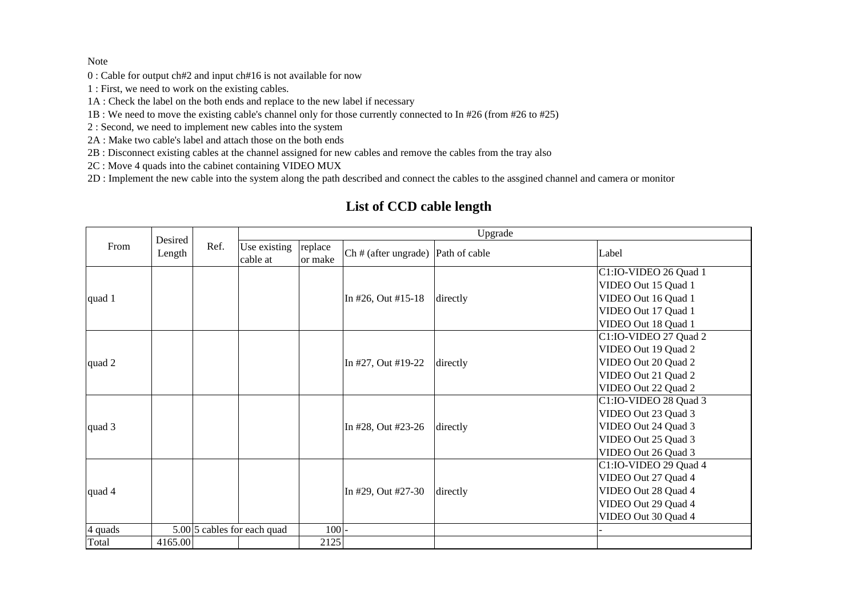## Note

- 0 : Cable for output ch#2 and input ch#16 is not available for now
- 1 : First, we need to work on the existing cables.
- 1A : Check the label on the both ends and replace to the new label if necessary
- 1B : We need to move the existing cable's channel only for those currently connected to In #26 (from #26 to #25)
- 2 : Second, we need to implement new cables into the system
- 2A : Make two cable's label and attach those on the both ends
- 2B : Disconnect existing cables at the channel assigned for new cables and remove the cables from the tray also
- 2C : Move 4 quads into the cabinet containing VIDEO MUX
- 2D : Implement the new cable into the system along the path described and connect the cables to the assgined channel and camera or monitor

| From    | Desired<br>Length | Ref. | Upgrade                     |                    |                                      |          |                                                                                                                   |  |
|---------|-------------------|------|-----------------------------|--------------------|--------------------------------------|----------|-------------------------------------------------------------------------------------------------------------------|--|
|         |                   |      | Use existing<br>cable at    | replace<br>or make | $Ch$ # (after ungrade) Path of cable |          | Label                                                                                                             |  |
| quad 1  |                   |      |                             |                    | In #26, Out #15-18                   | directly | C1:IO-VIDEO 26 Quad 1<br>VIDEO Out 15 Quad 1<br>VIDEO Out 16 Quad 1<br>VIDEO Out 17 Quad 1<br>VIDEO Out 18 Quad 1 |  |
| quad 2  |                   |      |                             |                    | In #27, Out #19-22                   | directly | C1:IO-VIDEO 27 Quad 2<br>VIDEO Out 19 Quad 2<br>VIDEO Out 20 Quad 2<br>VIDEO Out 21 Quad 2<br>VIDEO Out 22 Quad 2 |  |
| quad 3  |                   |      |                             |                    | In #28, Out #23-26                   | directly | C1:IO-VIDEO 28 Quad 3<br>VIDEO Out 23 Quad 3<br>VIDEO Out 24 Quad 3<br>VIDEO Out 25 Quad 3<br>VIDEO Out 26 Quad 3 |  |
| quad 4  |                   |      |                             |                    | In #29, Out #27-30                   | directly | C1:IO-VIDEO 29 Quad 4<br>VIDEO Out 27 Quad 4<br>VIDEO Out 28 Quad 4<br>VIDEO Out 29 Quad 4<br>VIDEO Out 30 Quad 4 |  |
| 4 quads |                   |      | 5.00 5 cables for each quad | $100 -$            |                                      |          |                                                                                                                   |  |
| Total   | 4165.00           |      |                             | 2125               |                                      |          |                                                                                                                   |  |